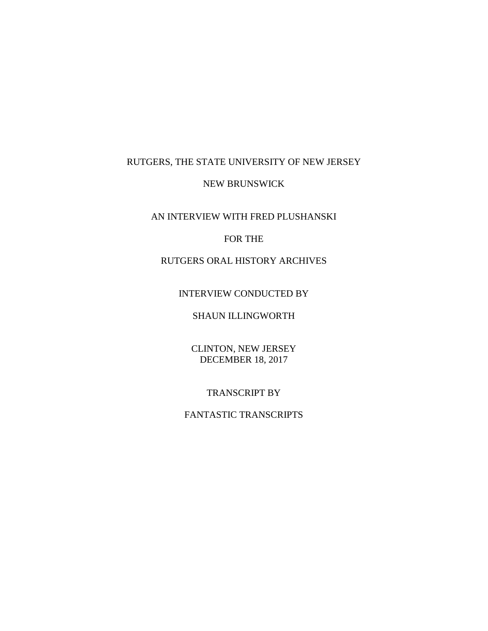## RUTGERS, THE STATE UNIVERSITY OF NEW JERSEY

#### NEW BRUNSWICK

## AN INTERVIEW WITH FRED PLUSHANSKI

## FOR THE

# RUTGERS ORAL HISTORY ARCHIVES

### INTERVIEW CONDUCTED BY

# SHAUN ILLINGWORTH

## CLINTON, NEW JERSEY DECEMBER 18, 2017

### TRANSCRIPT BY

# FANTASTIC TRANSCRIPTS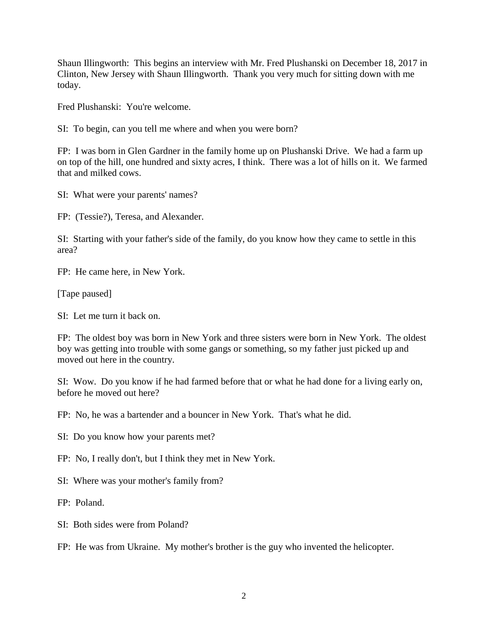Shaun Illingworth: This begins an interview with Mr. Fred Plushanski on December 18, 2017 in Clinton, New Jersey with Shaun Illingworth. Thank you very much for sitting down with me today.

Fred Plushanski: You're welcome.

SI: To begin, can you tell me where and when you were born?

FP: I was born in Glen Gardner in the family home up on Plushanski Drive. We had a farm up on top of the hill, one hundred and sixty acres, I think. There was a lot of hills on it. We farmed that and milked cows.

SI: What were your parents' names?

FP: (Tessie?), Teresa, and Alexander.

SI: Starting with your father's side of the family, do you know how they came to settle in this area?

FP: He came here, in New York.

[Tape paused]

SI: Let me turn it back on.

FP: The oldest boy was born in New York and three sisters were born in New York. The oldest boy was getting into trouble with some gangs or something, so my father just picked up and moved out here in the country.

SI: Wow. Do you know if he had farmed before that or what he had done for a living early on, before he moved out here?

FP: No, he was a bartender and a bouncer in New York. That's what he did.

SI: Do you know how your parents met?

FP: No, I really don't, but I think they met in New York.

SI: Where was your mother's family from?

FP: Poland.

SI: Both sides were from Poland?

FP: He was from Ukraine. My mother's brother is the guy who invented the helicopter.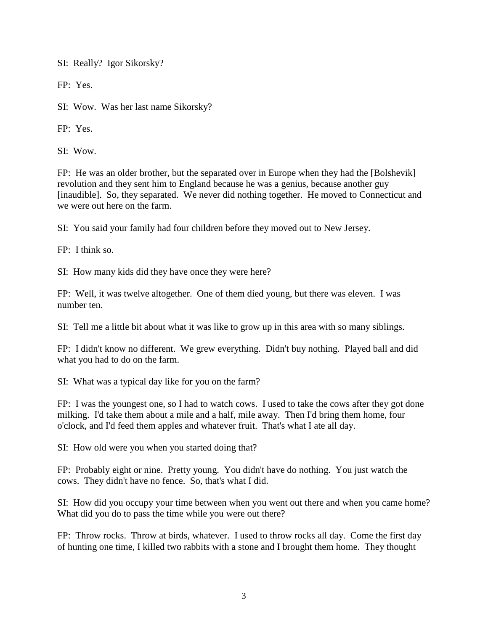SI: Really? Igor Sikorsky?

FP: Yes.

SI: Wow. Was her last name Sikorsky?

FP: Yes.

SI: Wow.

FP: He was an older brother, but the separated over in Europe when they had the [Bolshevik] revolution and they sent him to England because he was a genius, because another guy [inaudible]. So, they separated. We never did nothing together. He moved to Connecticut and we were out here on the farm.

SI: You said your family had four children before they moved out to New Jersey.

FP: I think so.

SI: How many kids did they have once they were here?

FP: Well, it was twelve altogether. One of them died young, but there was eleven. I was number ten.

SI: Tell me a little bit about what it was like to grow up in this area with so many siblings.

FP: I didn't know no different. We grew everything. Didn't buy nothing. Played ball and did what you had to do on the farm.

SI: What was a typical day like for you on the farm?

FP: I was the youngest one, so I had to watch cows. I used to take the cows after they got done milking. I'd take them about a mile and a half, mile away. Then I'd bring them home, four o'clock, and I'd feed them apples and whatever fruit. That's what I ate all day.

SI: How old were you when you started doing that?

FP: Probably eight or nine. Pretty young. You didn't have do nothing. You just watch the cows. They didn't have no fence. So, that's what I did.

SI: How did you occupy your time between when you went out there and when you came home? What did you do to pass the time while you were out there?

FP: Throw rocks. Throw at birds, whatever. I used to throw rocks all day. Come the first day of hunting one time, I killed two rabbits with a stone and I brought them home. They thought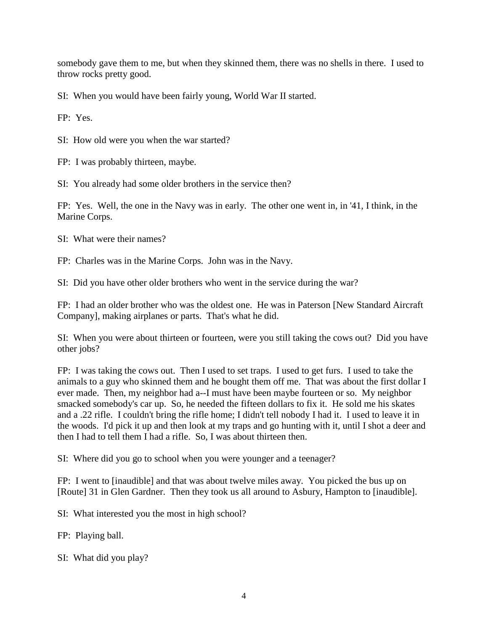somebody gave them to me, but when they skinned them, there was no shells in there. I used to throw rocks pretty good.

SI: When you would have been fairly young, World War II started.

FP: Yes.

SI: How old were you when the war started?

FP: I was probably thirteen, maybe.

SI: You already had some older brothers in the service then?

FP: Yes. Well, the one in the Navy was in early. The other one went in, in '41, I think, in the Marine Corps.

SI: What were their names?

FP: Charles was in the Marine Corps. John was in the Navy.

SI: Did you have other older brothers who went in the service during the war?

FP: I had an older brother who was the oldest one. He was in Paterson [New Standard Aircraft Company], making airplanes or parts. That's what he did.

SI: When you were about thirteen or fourteen, were you still taking the cows out? Did you have other jobs?

FP: I was taking the cows out. Then I used to set traps. I used to get furs. I used to take the animals to a guy who skinned them and he bought them off me. That was about the first dollar I ever made. Then, my neighbor had a--I must have been maybe fourteen or so. My neighbor smacked somebody's car up. So, he needed the fifteen dollars to fix it. He sold me his skates and a .22 rifle. I couldn't bring the rifle home; I didn't tell nobody I had it. I used to leave it in the woods. I'd pick it up and then look at my traps and go hunting with it, until I shot a deer and then I had to tell them I had a rifle. So, I was about thirteen then.

SI: Where did you go to school when you were younger and a teenager?

FP: I went to [inaudible] and that was about twelve miles away. You picked the bus up on [Route] 31 in Glen Gardner. Then they took us all around to Asbury, Hampton to [inaudible].

SI: What interested you the most in high school?

- FP: Playing ball.
- SI: What did you play?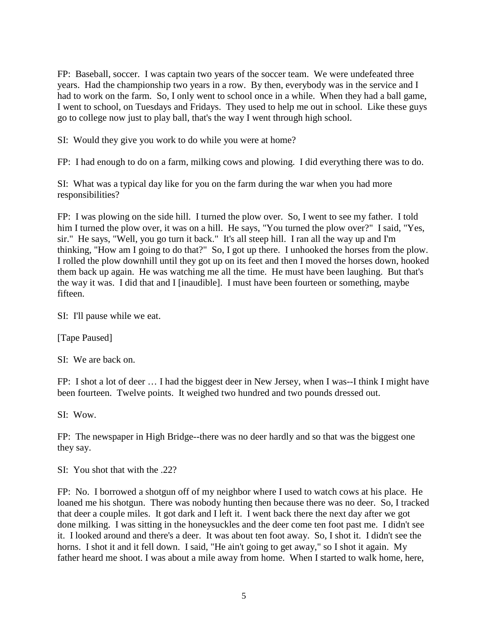FP: Baseball, soccer. I was captain two years of the soccer team. We were undefeated three years. Had the championship two years in a row. By then, everybody was in the service and I had to work on the farm. So, I only went to school once in a while. When they had a ball game, I went to school, on Tuesdays and Fridays. They used to help me out in school. Like these guys go to college now just to play ball, that's the way I went through high school.

SI: Would they give you work to do while you were at home?

FP: I had enough to do on a farm, milking cows and plowing. I did everything there was to do.

SI: What was a typical day like for you on the farm during the war when you had more responsibilities?

FP: I was plowing on the side hill. I turned the plow over. So, I went to see my father. I told him I turned the plow over, it was on a hill. He says, "You turned the plow over?" I said, "Yes, sir." He says, "Well, you go turn it back." It's all steep hill. I ran all the way up and I'm thinking, "How am I going to do that?" So, I got up there. I unhooked the horses from the plow. I rolled the plow downhill until they got up on its feet and then I moved the horses down, hooked them back up again. He was watching me all the time. He must have been laughing. But that's the way it was. I did that and I [inaudible]. I must have been fourteen or something, maybe fifteen.

SI: I'll pause while we eat.

[Tape Paused]

SI: We are back on.

FP: I shot a lot of deer … I had the biggest deer in New Jersey, when I was--I think I might have been fourteen. Twelve points. It weighed two hundred and two pounds dressed out.

SI: Wow.

FP: The newspaper in High Bridge--there was no deer hardly and so that was the biggest one they say.

 $SI: You shot that with the .22?$ 

FP: No. I borrowed a shotgun off of my neighbor where I used to watch cows at his place. He loaned me his shotgun. There was nobody hunting then because there was no deer. So, I tracked that deer a couple miles. It got dark and I left it. I went back there the next day after we got done milking. I was sitting in the honeysuckles and the deer come ten foot past me. I didn't see it. I looked around and there's a deer. It was about ten foot away. So, I shot it. I didn't see the horns. I shot it and it fell down. I said, "He ain't going to get away," so I shot it again. My father heard me shoot. I was about a mile away from home. When I started to walk home, here,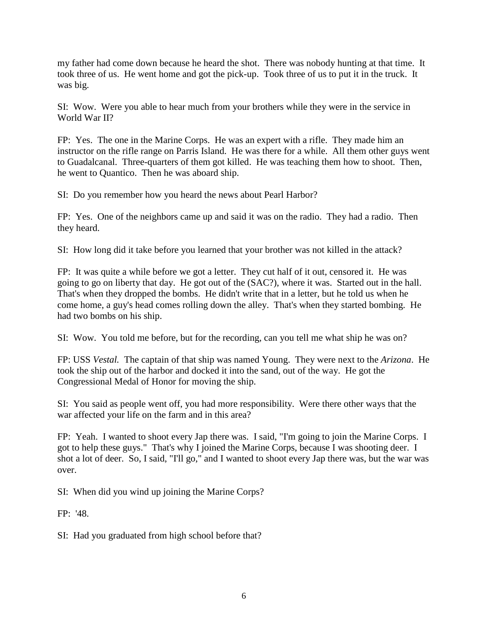my father had come down because he heard the shot. There was nobody hunting at that time. It took three of us. He went home and got the pick-up. Took three of us to put it in the truck. It was big.

SI: Wow. Were you able to hear much from your brothers while they were in the service in World War II?

FP: Yes. The one in the Marine Corps. He was an expert with a rifle. They made him an instructor on the rifle range on Parris Island. He was there for a while. All them other guys went to Guadalcanal. Three-quarters of them got killed. He was teaching them how to shoot. Then, he went to Quantico. Then he was aboard ship.

SI: Do you remember how you heard the news about Pearl Harbor?

FP: Yes. One of the neighbors came up and said it was on the radio. They had a radio. Then they heard.

SI: How long did it take before you learned that your brother was not killed in the attack?

FP: It was quite a while before we got a letter. They cut half of it out, censored it. He was going to go on liberty that day. He got out of the (SAC?), where it was. Started out in the hall. That's when they dropped the bombs. He didn't write that in a letter, but he told us when he come home, a guy's head comes rolling down the alley. That's when they started bombing. He had two bombs on his ship.

SI: Wow. You told me before, but for the recording, can you tell me what ship he was on?

FP: USS *Vestal.* The captain of that ship was named Young. They were next to the *Arizona*. He took the ship out of the harbor and docked it into the sand, out of the way. He got the Congressional Medal of Honor for moving the ship.

SI: You said as people went off, you had more responsibility. Were there other ways that the war affected your life on the farm and in this area?

FP: Yeah. I wanted to shoot every Jap there was. I said, "I'm going to join the Marine Corps. I got to help these guys." That's why I joined the Marine Corps, because I was shooting deer. I shot a lot of deer. So, I said, "I'll go," and I wanted to shoot every Jap there was, but the war was over.

SI: When did you wind up joining the Marine Corps?

FP: '48.

SI: Had you graduated from high school before that?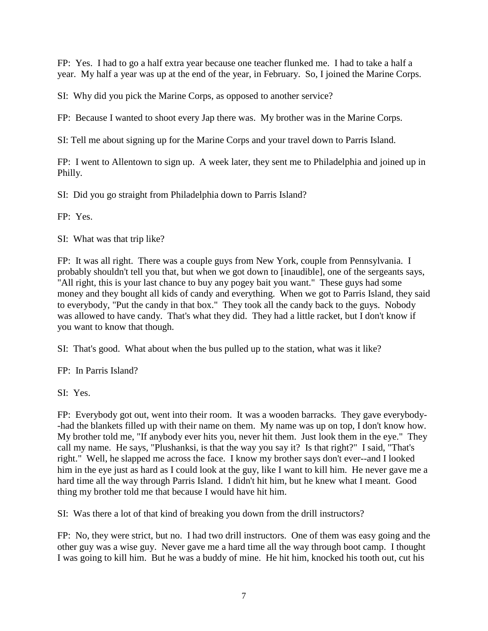FP: Yes. I had to go a half extra year because one teacher flunked me. I had to take a half a year. My half a year was up at the end of the year, in February. So, I joined the Marine Corps.

SI: Why did you pick the Marine Corps, as opposed to another service?

FP: Because I wanted to shoot every Jap there was. My brother was in the Marine Corps.

SI: Tell me about signing up for the Marine Corps and your travel down to Parris Island.

FP: I went to Allentown to sign up. A week later, they sent me to Philadelphia and joined up in Philly.

SI: Did you go straight from Philadelphia down to Parris Island?

FP: Yes.

SI: What was that trip like?

FP: It was all right. There was a couple guys from New York, couple from Pennsylvania. I probably shouldn't tell you that, but when we got down to [inaudible], one of the sergeants says, "All right, this is your last chance to buy any pogey bait you want." These guys had some money and they bought all kids of candy and everything. When we got to Parris Island, they said to everybody, "Put the candy in that box." They took all the candy back to the guys. Nobody was allowed to have candy. That's what they did. They had a little racket, but I don't know if you want to know that though.

SI: That's good. What about when the bus pulled up to the station, what was it like?

FP: In Parris Island?

SI: Yes.

FP: Everybody got out, went into their room. It was a wooden barracks. They gave everybody- -had the blankets filled up with their name on them. My name was up on top, I don't know how. My brother told me, "If anybody ever hits you, never hit them. Just look them in the eye." They call my name. He says, "Plushanksi, is that the way you say it? Is that right?" I said, "That's right." Well, he slapped me across the face. I know my brother says don't ever--and I looked him in the eye just as hard as I could look at the guy, like I want to kill him. He never gave me a hard time all the way through Parris Island. I didn't hit him, but he knew what I meant. Good thing my brother told me that because I would have hit him.

SI: Was there a lot of that kind of breaking you down from the drill instructors?

FP: No, they were strict, but no. I had two drill instructors. One of them was easy going and the other guy was a wise guy. Never gave me a hard time all the way through boot camp. I thought I was going to kill him. But he was a buddy of mine. He hit him, knocked his tooth out, cut his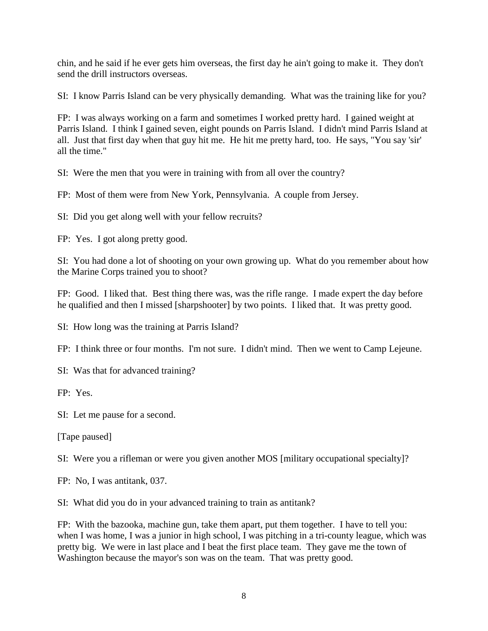chin, and he said if he ever gets him overseas, the first day he ain't going to make it. They don't send the drill instructors overseas.

SI: I know Parris Island can be very physically demanding. What was the training like for you?

FP: I was always working on a farm and sometimes I worked pretty hard. I gained weight at Parris Island. I think I gained seven, eight pounds on Parris Island. I didn't mind Parris Island at all. Just that first day when that guy hit me. He hit me pretty hard, too. He says, "You say 'sir' all the time."

SI: Were the men that you were in training with from all over the country?

FP: Most of them were from New York, Pennsylvania. A couple from Jersey.

SI: Did you get along well with your fellow recruits?

FP: Yes. I got along pretty good.

SI: You had done a lot of shooting on your own growing up. What do you remember about how the Marine Corps trained you to shoot?

FP: Good. I liked that. Best thing there was, was the rifle range. I made expert the day before he qualified and then I missed [sharpshooter] by two points. I liked that. It was pretty good.

SI: How long was the training at Parris Island?

FP: I think three or four months. I'm not sure. I didn't mind. Then we went to Camp Lejeune.

SI: Was that for advanced training?

FP: Yes.

SI: Let me pause for a second.

[Tape paused]

SI: Were you a rifleman or were you given another MOS [military occupational specialty]?

FP: No, I was antitank, 037.

SI: What did you do in your advanced training to train as antitank?

FP: With the bazooka, machine gun, take them apart, put them together. I have to tell you: when I was home, I was a junior in high school, I was pitching in a tri-county league, which was pretty big. We were in last place and I beat the first place team. They gave me the town of Washington because the mayor's son was on the team. That was pretty good.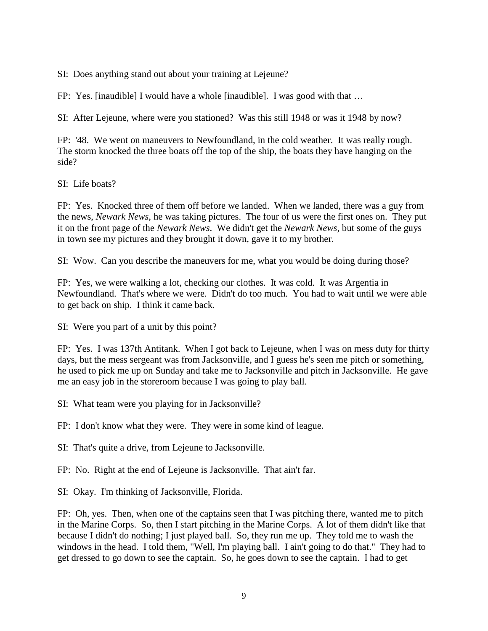SI: Does anything stand out about your training at Lejeune?

FP: Yes. [inaudible] I would have a whole [inaudible]. I was good with that …

SI: After Lejeune, where were you stationed? Was this still 1948 or was it 1948 by now?

FP: '48. We went on maneuvers to Newfoundland, in the cold weather. It was really rough. The storm knocked the three boats off the top of the ship, the boats they have hanging on the side?

SI: Life boats?

FP: Yes. Knocked three of them off before we landed. When we landed, there was a guy from the news, *Newark News*, he was taking pictures. The four of us were the first ones on. They put it on the front page of the *Newark News*. We didn't get the *Newark News*, but some of the guys in town see my pictures and they brought it down, gave it to my brother.

SI: Wow. Can you describe the maneuvers for me, what you would be doing during those?

FP: Yes, we were walking a lot, checking our clothes. It was cold. It was Argentia in Newfoundland. That's where we were. Didn't do too much. You had to wait until we were able to get back on ship. I think it came back.

SI: Were you part of a unit by this point?

FP: Yes. I was 137th Antitank. When I got back to Lejeune, when I was on mess duty for thirty days, but the mess sergeant was from Jacksonville, and I guess he's seen me pitch or something, he used to pick me up on Sunday and take me to Jacksonville and pitch in Jacksonville. He gave me an easy job in the storeroom because I was going to play ball.

SI: What team were you playing for in Jacksonville?

FP: I don't know what they were. They were in some kind of league.

SI: That's quite a drive, from Lejeune to Jacksonville.

FP: No. Right at the end of Lejeune is Jacksonville. That ain't far.

SI: Okay. I'm thinking of Jacksonville, Florida.

FP: Oh, yes. Then, when one of the captains seen that I was pitching there, wanted me to pitch in the Marine Corps. So, then I start pitching in the Marine Corps. A lot of them didn't like that because I didn't do nothing; I just played ball. So, they run me up. They told me to wash the windows in the head. I told them, "Well, I'm playing ball. I ain't going to do that." They had to get dressed to go down to see the captain. So, he goes down to see the captain. I had to get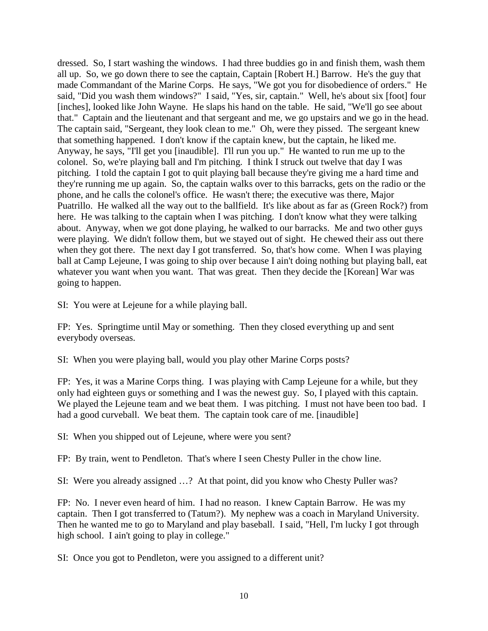dressed. So, I start washing the windows. I had three buddies go in and finish them, wash them all up. So, we go down there to see the captain, Captain [Robert H.] Barrow. He's the guy that made Commandant of the Marine Corps. He says, "We got you for disobedience of orders." He said, "Did you wash them windows?" I said, "Yes, sir, captain." Well, he's about six [foot] four [inches], looked like John Wayne. He slaps his hand on the table. He said, "We'll go see about that." Captain and the lieutenant and that sergeant and me, we go upstairs and we go in the head. The captain said, "Sergeant, they look clean to me." Oh, were they pissed. The sergeant knew that something happened. I don't know if the captain knew, but the captain, he liked me. Anyway, he says, "I'll get you [inaudible]. I'll run you up." He wanted to run me up to the colonel. So, we're playing ball and I'm pitching. I think I struck out twelve that day I was pitching. I told the captain I got to quit playing ball because they're giving me a hard time and they're running me up again. So, the captain walks over to this barracks, gets on the radio or the phone, and he calls the colonel's office. He wasn't there; the executive was there, Major Puatrillo. He walked all the way out to the ballfield. It's like about as far as (Green Rock?) from here. He was talking to the captain when I was pitching. I don't know what they were talking about. Anyway, when we got done playing, he walked to our barracks. Me and two other guys were playing. We didn't follow them, but we stayed out of sight. He chewed their ass out there when they got there. The next day I got transferred. So, that's how come. When I was playing ball at Camp Lejeune, I was going to ship over because I ain't doing nothing but playing ball, eat whatever you want when you want. That was great. Then they decide the [Korean] War was going to happen.

SI: You were at Lejeune for a while playing ball.

FP: Yes. Springtime until May or something. Then they closed everything up and sent everybody overseas.

SI: When you were playing ball, would you play other Marine Corps posts?

FP: Yes, it was a Marine Corps thing. I was playing with Camp Lejeune for a while, but they only had eighteen guys or something and I was the newest guy. So, I played with this captain. We played the Lejeune team and we beat them. I was pitching. I must not have been too bad. I had a good curveball. We beat them. The captain took care of me. [inaudible]

SI: When you shipped out of Lejeune, where were you sent?

FP: By train, went to Pendleton. That's where I seen Chesty Puller in the chow line.

SI: Were you already assigned …? At that point, did you know who Chesty Puller was?

FP: No. I never even heard of him. I had no reason. I knew Captain Barrow. He was my captain. Then I got transferred to (Tatum?). My nephew was a coach in Maryland University. Then he wanted me to go to Maryland and play baseball. I said, "Hell, I'm lucky I got through high school. I ain't going to play in college."

SI: Once you got to Pendleton, were you assigned to a different unit?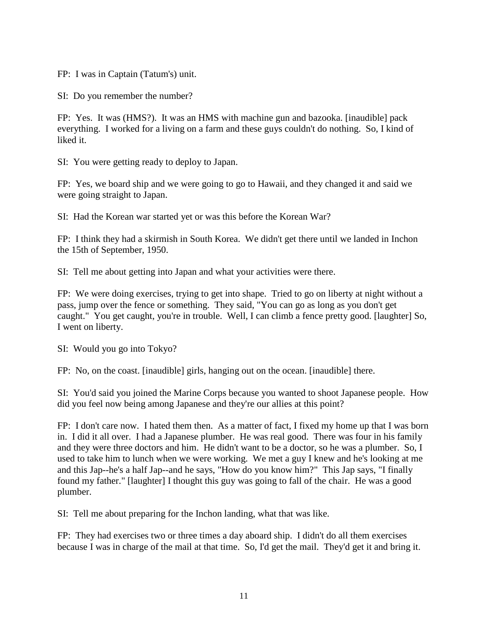FP: I was in Captain (Tatum's) unit.

SI: Do you remember the number?

FP: Yes. It was (HMS?). It was an HMS with machine gun and bazooka. [inaudible] pack everything. I worked for a living on a farm and these guys couldn't do nothing. So, I kind of liked it.

SI: You were getting ready to deploy to Japan.

FP: Yes, we board ship and we were going to go to Hawaii, and they changed it and said we were going straight to Japan.

SI: Had the Korean war started yet or was this before the Korean War?

FP: I think they had a skirmish in South Korea. We didn't get there until we landed in Inchon the 15th of September, 1950.

SI: Tell me about getting into Japan and what your activities were there.

FP: We were doing exercises, trying to get into shape. Tried to go on liberty at night without a pass, jump over the fence or something. They said, "You can go as long as you don't get caught." You get caught, you're in trouble. Well, I can climb a fence pretty good. [laughter] So, I went on liberty.

SI: Would you go into Tokyo?

FP: No, on the coast. [inaudible] girls, hanging out on the ocean. [inaudible] there.

SI: You'd said you joined the Marine Corps because you wanted to shoot Japanese people. How did you feel now being among Japanese and they're our allies at this point?

FP: I don't care now. I hated them then. As a matter of fact, I fixed my home up that I was born in. I did it all over. I had a Japanese plumber. He was real good. There was four in his family and they were three doctors and him. He didn't want to be a doctor, so he was a plumber. So, I used to take him to lunch when we were working. We met a guy I knew and he's looking at me and this Jap--he's a half Jap--and he says, "How do you know him?" This Jap says, "I finally found my father." [laughter] I thought this guy was going to fall of the chair. He was a good plumber.

SI: Tell me about preparing for the Inchon landing, what that was like.

FP: They had exercises two or three times a day aboard ship. I didn't do all them exercises because I was in charge of the mail at that time. So, I'd get the mail. They'd get it and bring it.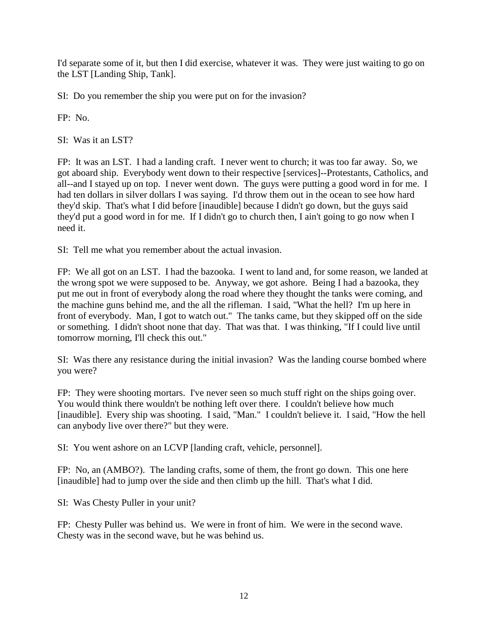I'd separate some of it, but then I did exercise, whatever it was. They were just waiting to go on the LST [Landing Ship, Tank].

SI: Do you remember the ship you were put on for the invasion?

FP: No.

SI: Was it an LST?

FP: It was an LST. I had a landing craft. I never went to church; it was too far away. So, we got aboard ship. Everybody went down to their respective [services]--Protestants, Catholics, and all--and I stayed up on top. I never went down. The guys were putting a good word in for me. I had ten dollars in silver dollars I was saying. I'd throw them out in the ocean to see how hard they'd skip. That's what I did before [inaudible] because I didn't go down, but the guys said they'd put a good word in for me. If I didn't go to church then, I ain't going to go now when I need it.

SI: Tell me what you remember about the actual invasion.

FP: We all got on an LST. I had the bazooka. I went to land and, for some reason, we landed at the wrong spot we were supposed to be. Anyway, we got ashore. Being I had a bazooka, they put me out in front of everybody along the road where they thought the tanks were coming, and the machine guns behind me, and the all the rifleman. I said, "What the hell? I'm up here in front of everybody. Man, I got to watch out." The tanks came, but they skipped off on the side or something. I didn't shoot none that day. That was that. I was thinking, "If I could live until tomorrow morning, I'll check this out."

SI: Was there any resistance during the initial invasion? Was the landing course bombed where you were?

FP: They were shooting mortars. I've never seen so much stuff right on the ships going over. You would think there wouldn't be nothing left over there. I couldn't believe how much [inaudible]. Every ship was shooting. I said, "Man." I couldn't believe it. I said, "How the hell can anybody live over there?" but they were.

SI: You went ashore on an LCVP [landing craft, vehicle, personnel].

FP: No, an (AMBO?). The landing crafts, some of them, the front go down. This one here [inaudible] had to jump over the side and then climb up the hill. That's what I did.

SI: Was Chesty Puller in your unit?

FP: Chesty Puller was behind us. We were in front of him. We were in the second wave. Chesty was in the second wave, but he was behind us.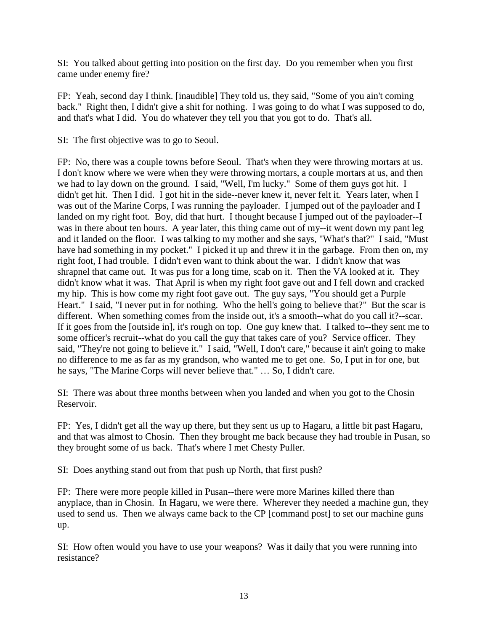SI: You talked about getting into position on the first day. Do you remember when you first came under enemy fire?

FP: Yeah, second day I think. [inaudible] They told us, they said, "Some of you ain't coming back." Right then, I didn't give a shit for nothing. I was going to do what I was supposed to do, and that's what I did. You do whatever they tell you that you got to do. That's all.

SI: The first objective was to go to Seoul.

FP: No, there was a couple towns before Seoul. That's when they were throwing mortars at us. I don't know where we were when they were throwing mortars, a couple mortars at us, and then we had to lay down on the ground. I said, "Well, I'm lucky." Some of them guys got hit. I didn't get hit. Then I did. I got hit in the side--never knew it, never felt it. Years later, when I was out of the Marine Corps, I was running the payloader. I jumped out of the payloader and I landed on my right foot. Boy, did that hurt. I thought because I jumped out of the payloader--I was in there about ten hours. A year later, this thing came out of my--it went down my pant leg and it landed on the floor. I was talking to my mother and she says, "What's that?" I said, "Must have had something in my pocket." I picked it up and threw it in the garbage. From then on, my right foot, I had trouble. I didn't even want to think about the war. I didn't know that was shrapnel that came out. It was pus for a long time, scab on it. Then the VA looked at it. They didn't know what it was. That April is when my right foot gave out and I fell down and cracked my hip. This is how come my right foot gave out. The guy says, "You should get a Purple Heart." I said, "I never put in for nothing. Who the hell's going to believe that?" But the scar is different. When something comes from the inside out, it's a smooth--what do you call it?--scar. If it goes from the [outside in], it's rough on top. One guy knew that. I talked to--they sent me to some officer's recruit--what do you call the guy that takes care of you? Service officer. They said, "They're not going to believe it." I said, "Well, I don't care," because it ain't going to make no difference to me as far as my grandson, who wanted me to get one. So, I put in for one, but he says, "The Marine Corps will never believe that." … So, I didn't care.

SI: There was about three months between when you landed and when you got to the Chosin Reservoir.

FP: Yes, I didn't get all the way up there, but they sent us up to Hagaru, a little bit past Hagaru, and that was almost to Chosin. Then they brought me back because they had trouble in Pusan, so they brought some of us back. That's where I met Chesty Puller.

SI: Does anything stand out from that push up North, that first push?

FP: There were more people killed in Pusan--there were more Marines killed there than anyplace, than in Chosin. In Hagaru, we were there. Wherever they needed a machine gun, they used to send us. Then we always came back to the CP [command post] to set our machine guns up.

SI: How often would you have to use your weapons? Was it daily that you were running into resistance?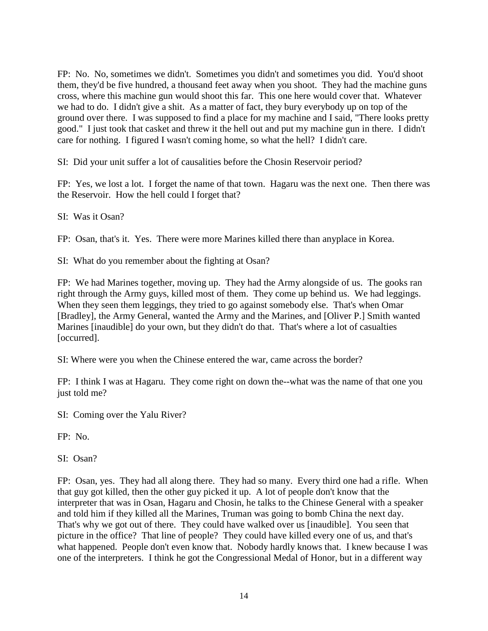FP: No. No, sometimes we didn't. Sometimes you didn't and sometimes you did. You'd shoot them, they'd be five hundred, a thousand feet away when you shoot. They had the machine guns cross, where this machine gun would shoot this far. This one here would cover that. Whatever we had to do. I didn't give a shit. As a matter of fact, they bury everybody up on top of the ground over there. I was supposed to find a place for my machine and I said, "There looks pretty good." I just took that casket and threw it the hell out and put my machine gun in there. I didn't care for nothing. I figured I wasn't coming home, so what the hell? I didn't care.

SI: Did your unit suffer a lot of causalities before the Chosin Reservoir period?

FP: Yes, we lost a lot. I forget the name of that town. Hagaru was the next one. Then there was the Reservoir. How the hell could I forget that?

SI: Was it Osan?

FP: Osan, that's it. Yes. There were more Marines killed there than anyplace in Korea.

SI: What do you remember about the fighting at Osan?

FP: We had Marines together, moving up. They had the Army alongside of us. The gooks ran right through the Army guys, killed most of them. They come up behind us. We had leggings. When they seen them leggings, they tried to go against somebody else. That's when Omar [Bradley], the Army General, wanted the Army and the Marines, and [Oliver P.] Smith wanted Marines [inaudible] do your own, but they didn't do that. That's where a lot of casualties [occurred].

SI: Where were you when the Chinese entered the war, came across the border?

FP: I think I was at Hagaru. They come right on down the--what was the name of that one you just told me?

SI: Coming over the Yalu River?

FP: No.

SI: Osan?

FP: Osan, yes. They had all along there. They had so many. Every third one had a rifle. When that guy got killed, then the other guy picked it up. A lot of people don't know that the interpreter that was in Osan, Hagaru and Chosin, he talks to the Chinese General with a speaker and told him if they killed all the Marines, Truman was going to bomb China the next day. That's why we got out of there. They could have walked over us [inaudible]. You seen that picture in the office? That line of people? They could have killed every one of us, and that's what happened. People don't even know that. Nobody hardly knows that. I knew because I was one of the interpreters. I think he got the Congressional Medal of Honor, but in a different way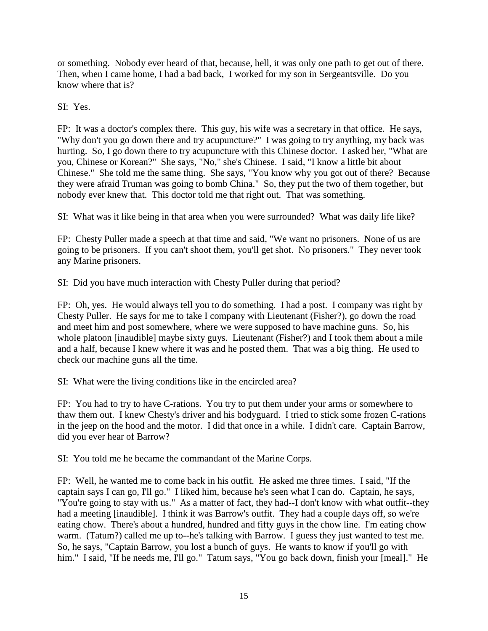or something. Nobody ever heard of that, because, hell, it was only one path to get out of there. Then, when I came home, I had a bad back, I worked for my son in Sergeantsville. Do you know where that is?

SI: Yes.

FP: It was a doctor's complex there. This guy, his wife was a secretary in that office. He says, "Why don't you go down there and try acupuncture?" I was going to try anything, my back was hurting. So, I go down there to try acupuncture with this Chinese doctor. I asked her, "What are you, Chinese or Korean?" She says, "No," she's Chinese. I said, "I know a little bit about Chinese." She told me the same thing. She says, "You know why you got out of there? Because they were afraid Truman was going to bomb China." So, they put the two of them together, but nobody ever knew that. This doctor told me that right out. That was something.

SI: What was it like being in that area when you were surrounded? What was daily life like?

FP: Chesty Puller made a speech at that time and said, "We want no prisoners. None of us are going to be prisoners. If you can't shoot them, you'll get shot. No prisoners." They never took any Marine prisoners.

SI: Did you have much interaction with Chesty Puller during that period?

FP: Oh, yes. He would always tell you to do something. I had a post. I company was right by Chesty Puller. He says for me to take I company with Lieutenant (Fisher?), go down the road and meet him and post somewhere, where we were supposed to have machine guns. So, his whole platoon [inaudible] maybe sixty guys. Lieutenant (Fisher?) and I took them about a mile and a half, because I knew where it was and he posted them. That was a big thing. He used to check our machine guns all the time.

SI: What were the living conditions like in the encircled area?

FP: You had to try to have C-rations. You try to put them under your arms or somewhere to thaw them out. I knew Chesty's driver and his bodyguard. I tried to stick some frozen C-rations in the jeep on the hood and the motor. I did that once in a while. I didn't care. Captain Barrow, did you ever hear of Barrow?

SI: You told me he became the commandant of the Marine Corps.

FP: Well, he wanted me to come back in his outfit. He asked me three times. I said, "If the captain says I can go, I'll go." I liked him, because he's seen what I can do. Captain, he says, "You're going to stay with us." As a matter of fact, they had--I don't know with what outfit--they had a meeting [inaudible]. I think it was Barrow's outfit. They had a couple days off, so we're eating chow. There's about a hundred, hundred and fifty guys in the chow line. I'm eating chow warm. (Tatum?) called me up to--he's talking with Barrow. I guess they just wanted to test me. So, he says, "Captain Barrow, you lost a bunch of guys. He wants to know if you'll go with him." I said, "If he needs me, I'll go." Tatum says, "You go back down, finish your [meal]." He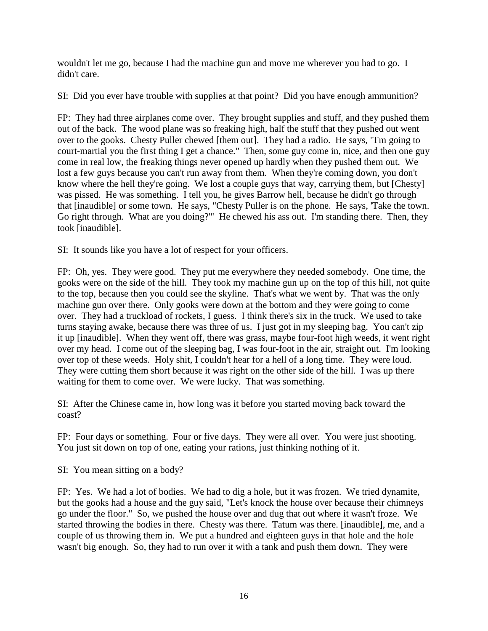wouldn't let me go, because I had the machine gun and move me wherever you had to go. I didn't care.

SI: Did you ever have trouble with supplies at that point? Did you have enough ammunition?

FP: They had three airplanes come over. They brought supplies and stuff, and they pushed them out of the back. The wood plane was so freaking high, half the stuff that they pushed out went over to the gooks. Chesty Puller chewed [them out]. They had a radio. He says, "I'm going to court-martial you the first thing I get a chance." Then, some guy come in, nice, and then one guy come in real low, the freaking things never opened up hardly when they pushed them out. We lost a few guys because you can't run away from them. When they're coming down, you don't know where the hell they're going. We lost a couple guys that way, carrying them, but [Chesty] was pissed. He was something. I tell you, he gives Barrow hell, because he didn't go through that [inaudible] or some town. He says, "Chesty Puller is on the phone. He says, 'Take the town. Go right through. What are you doing?'" He chewed his ass out. I'm standing there. Then, they took [inaudible].

SI: It sounds like you have a lot of respect for your officers.

FP: Oh, yes. They were good. They put me everywhere they needed somebody. One time, the gooks were on the side of the hill. They took my machine gun up on the top of this hill, not quite to the top, because then you could see the skyline. That's what we went by. That was the only machine gun over there. Only gooks were down at the bottom and they were going to come over. They had a truckload of rockets, I guess. I think there's six in the truck. We used to take turns staying awake, because there was three of us. I just got in my sleeping bag. You can't zip it up [inaudible]. When they went off, there was grass, maybe four-foot high weeds, it went right over my head. I come out of the sleeping bag, I was four-foot in the air, straight out. I'm looking over top of these weeds. Holy shit, I couldn't hear for a hell of a long time. They were loud. They were cutting them short because it was right on the other side of the hill. I was up there waiting for them to come over. We were lucky. That was something.

SI: After the Chinese came in, how long was it before you started moving back toward the coast?

FP: Four days or something. Four or five days. They were all over. You were just shooting. You just sit down on top of one, eating your rations, just thinking nothing of it.

SI: You mean sitting on a body?

FP: Yes. We had a lot of bodies. We had to dig a hole, but it was frozen. We tried dynamite, but the gooks had a house and the guy said, "Let's knock the house over because their chimneys go under the floor." So, we pushed the house over and dug that out where it wasn't froze. We started throwing the bodies in there. Chesty was there. Tatum was there. [inaudible], me, and a couple of us throwing them in. We put a hundred and eighteen guys in that hole and the hole wasn't big enough. So, they had to run over it with a tank and push them down. They were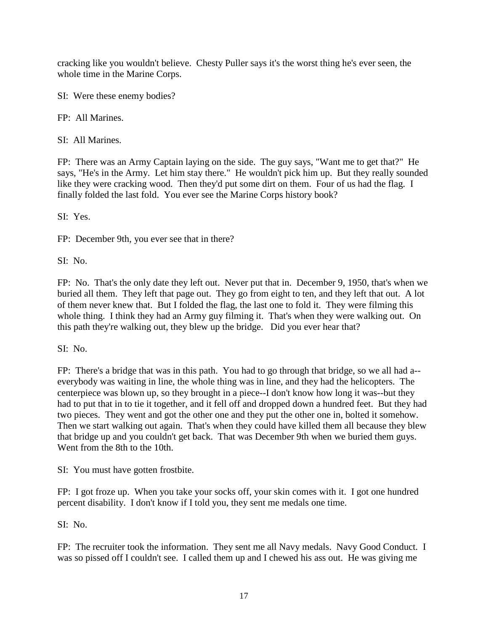cracking like you wouldn't believe. Chesty Puller says it's the worst thing he's ever seen, the whole time in the Marine Corps.

SI: Were these enemy bodies?

FP: All Marines.

SI: All Marines.

FP: There was an Army Captain laying on the side. The guy says, "Want me to get that?" He says, "He's in the Army. Let him stay there." He wouldn't pick him up. But they really sounded like they were cracking wood. Then they'd put some dirt on them. Four of us had the flag. I finally folded the last fold. You ever see the Marine Corps history book?

SI: Yes.

FP: December 9th, you ever see that in there?

SI: No.

FP: No. That's the only date they left out. Never put that in. December 9, 1950, that's when we buried all them. They left that page out. They go from eight to ten, and they left that out. A lot of them never knew that. But I folded the flag, the last one to fold it. They were filming this whole thing. I think they had an Army guy filming it. That's when they were walking out. On this path they're walking out, they blew up the bridge. Did you ever hear that?

SI: No.

FP: There's a bridge that was in this path. You had to go through that bridge, so we all had a- everybody was waiting in line, the whole thing was in line, and they had the helicopters. The centerpiece was blown up, so they brought in a piece--I don't know how long it was--but they had to put that in to tie it together, and it fell off and dropped down a hundred feet. But they had two pieces. They went and got the other one and they put the other one in, bolted it somehow. Then we start walking out again. That's when they could have killed them all because they blew that bridge up and you couldn't get back. That was December 9th when we buried them guys. Went from the 8th to the 10th.

SI: You must have gotten frostbite.

FP: I got froze up. When you take your socks off, your skin comes with it. I got one hundred percent disability. I don't know if I told you, they sent me medals one time.

SI: No.

FP: The recruiter took the information. They sent me all Navy medals. Navy Good Conduct. I was so pissed off I couldn't see. I called them up and I chewed his ass out. He was giving me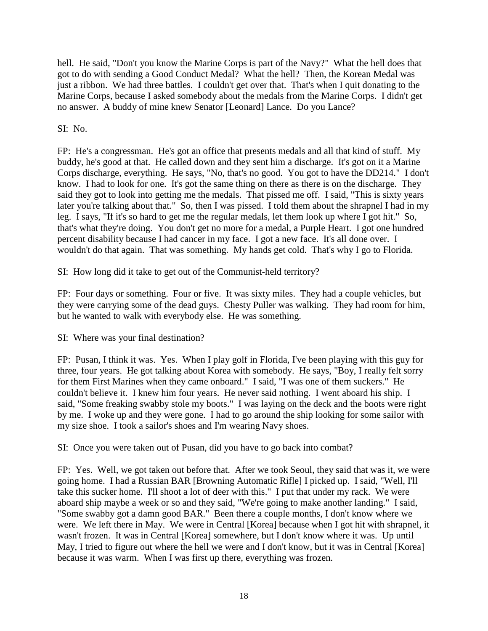hell. He said, "Don't you know the Marine Corps is part of the Navy?" What the hell does that got to do with sending a Good Conduct Medal? What the hell? Then, the Korean Medal was just a ribbon. We had three battles. I couldn't get over that. That's when I quit donating to the Marine Corps, because I asked somebody about the medals from the Marine Corps. I didn't get no answer. A buddy of mine knew Senator [Leonard] Lance. Do you Lance?

SI: No.

FP: He's a congressman. He's got an office that presents medals and all that kind of stuff. My buddy, he's good at that. He called down and they sent him a discharge. It's got on it a Marine Corps discharge, everything. He says, "No, that's no good. You got to have the DD214." I don't know. I had to look for one. It's got the same thing on there as there is on the discharge. They said they got to look into getting me the medals. That pissed me off. I said, "This is sixty years later you're talking about that." So, then I was pissed. I told them about the shrapnel I had in my leg. I says, "If it's so hard to get me the regular medals, let them look up where I got hit." So, that's what they're doing. You don't get no more for a medal, a Purple Heart. I got one hundred percent disability because I had cancer in my face. I got a new face. It's all done over. I wouldn't do that again. That was something. My hands get cold. That's why I go to Florida.

SI: How long did it take to get out of the Communist-held territory?

FP: Four days or something. Four or five. It was sixty miles. They had a couple vehicles, but they were carrying some of the dead guys. Chesty Puller was walking. They had room for him, but he wanted to walk with everybody else. He was something.

SI: Where was your final destination?

FP: Pusan, I think it was. Yes. When I play golf in Florida, I've been playing with this guy for three, four years. He got talking about Korea with somebody. He says, "Boy, I really felt sorry for them First Marines when they came onboard." I said, "I was one of them suckers." He couldn't believe it. I knew him four years. He never said nothing. I went aboard his ship. I said, "Some freaking swabby stole my boots." I was laying on the deck and the boots were right by me. I woke up and they were gone. I had to go around the ship looking for some sailor with my size shoe. I took a sailor's shoes and I'm wearing Navy shoes.

SI: Once you were taken out of Pusan, did you have to go back into combat?

FP: Yes. Well, we got taken out before that. After we took Seoul, they said that was it, we were going home. I had a Russian BAR [Browning Automatic Rifle] I picked up. I said, "Well, I'll take this sucker home. I'll shoot a lot of deer with this." I put that under my rack. We were aboard ship maybe a week or so and they said, "We're going to make another landing." I said, "Some swabby got a damn good BAR." Been there a couple months, I don't know where we were. We left there in May. We were in Central [Korea] because when I got hit with shrapnel, it wasn't frozen. It was in Central [Korea] somewhere, but I don't know where it was. Up until May, I tried to figure out where the hell we were and I don't know, but it was in Central [Korea] because it was warm. When I was first up there, everything was frozen.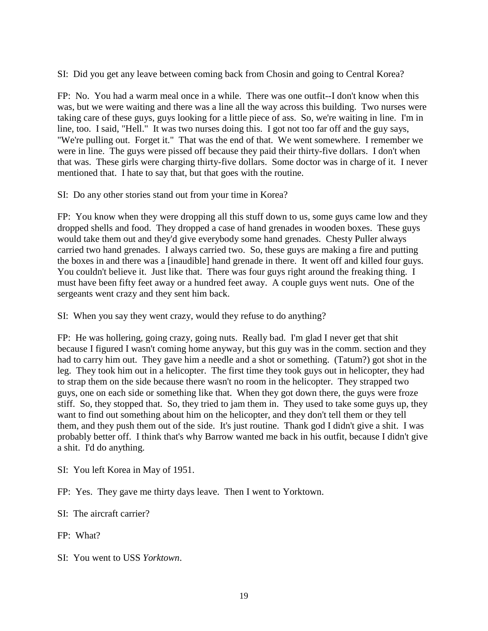SI: Did you get any leave between coming back from Chosin and going to Central Korea?

FP: No. You had a warm meal once in a while. There was one outfit--I don't know when this was, but we were waiting and there was a line all the way across this building. Two nurses were taking care of these guys, guys looking for a little piece of ass. So, we're waiting in line. I'm in line, too. I said, "Hell." It was two nurses doing this. I got not too far off and the guy says, "We're pulling out. Forget it." That was the end of that. We went somewhere. I remember we were in line. The guys were pissed off because they paid their thirty-five dollars. I don't when that was. These girls were charging thirty-five dollars. Some doctor was in charge of it. I never mentioned that. I hate to say that, but that goes with the routine.

SI: Do any other stories stand out from your time in Korea?

FP: You know when they were dropping all this stuff down to us, some guys came low and they dropped shells and food. They dropped a case of hand grenades in wooden boxes. These guys would take them out and they'd give everybody some hand grenades. Chesty Puller always carried two hand grenades. I always carried two. So, these guys are making a fire and putting the boxes in and there was a [inaudible] hand grenade in there. It went off and killed four guys. You couldn't believe it. Just like that. There was four guys right around the freaking thing. I must have been fifty feet away or a hundred feet away. A couple guys went nuts. One of the sergeants went crazy and they sent him back.

SI: When you say they went crazy, would they refuse to do anything?

FP: He was hollering, going crazy, going nuts. Really bad. I'm glad I never get that shit because I figured I wasn't coming home anyway, but this guy was in the comm. section and they had to carry him out. They gave him a needle and a shot or something. (Tatum?) got shot in the leg. They took him out in a helicopter. The first time they took guys out in helicopter, they had to strap them on the side because there wasn't no room in the helicopter. They strapped two guys, one on each side or something like that. When they got down there, the guys were froze stiff. So, they stopped that. So, they tried to jam them in. They used to take some guys up, they want to find out something about him on the helicopter, and they don't tell them or they tell them, and they push them out of the side. It's just routine. Thank god I didn't give a shit. I was probably better off. I think that's why Barrow wanted me back in his outfit, because I didn't give a shit. I'd do anything.

SI: You left Korea in May of 1951.

FP: Yes. They gave me thirty days leave. Then I went to Yorktown.

SI: The aircraft carrier?

FP: What?

SI: You went to USS *Yorktown*.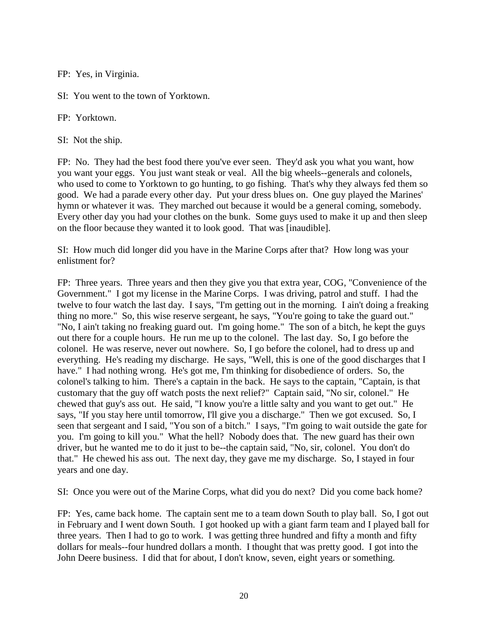FP: Yes, in Virginia.

SI: You went to the town of Yorktown.

FP: Yorktown.

SI: Not the ship.

FP: No. They had the best food there you've ever seen. They'd ask you what you want, how you want your eggs. You just want steak or veal. All the big wheels--generals and colonels, who used to come to Yorktown to go hunting, to go fishing. That's why they always fed them so good. We had a parade every other day. Put your dress blues on. One guy played the Marines' hymn or whatever it was. They marched out because it would be a general coming, somebody. Every other day you had your clothes on the bunk. Some guys used to make it up and then sleep on the floor because they wanted it to look good. That was [inaudible].

SI: How much did longer did you have in the Marine Corps after that? How long was your enlistment for?

FP: Three years. Three years and then they give you that extra year, COG, "Convenience of the Government." I got my license in the Marine Corps. I was driving, patrol and stuff. I had the twelve to four watch the last day. I says, "I'm getting out in the morning. I ain't doing a freaking thing no more." So, this wise reserve sergeant, he says, "You're going to take the guard out." "No, I ain't taking no freaking guard out. I'm going home." The son of a bitch, he kept the guys out there for a couple hours. He run me up to the colonel. The last day. So, I go before the colonel. He was reserve, never out nowhere. So, I go before the colonel, had to dress up and everything. He's reading my discharge. He says, "Well, this is one of the good discharges that I have." I had nothing wrong. He's got me, I'm thinking for disobedience of orders. So, the colonel's talking to him. There's a captain in the back. He says to the captain, "Captain, is that customary that the guy off watch posts the next relief?" Captain said, "No sir, colonel." He chewed that guy's ass out. He said, "I know you're a little salty and you want to get out." He says, "If you stay here until tomorrow, I'll give you a discharge." Then we got excused. So, I seen that sergeant and I said, "You son of a bitch." I says, "I'm going to wait outside the gate for you. I'm going to kill you." What the hell? Nobody does that. The new guard has their own driver, but he wanted me to do it just to be--the captain said, "No, sir, colonel. You don't do that." He chewed his ass out. The next day, they gave me my discharge. So, I stayed in four years and one day.

SI: Once you were out of the Marine Corps, what did you do next? Did you come back home?

FP: Yes, came back home. The captain sent me to a team down South to play ball. So, I got out in February and I went down South. I got hooked up with a giant farm team and I played ball for three years. Then I had to go to work. I was getting three hundred and fifty a month and fifty dollars for meals--four hundred dollars a month. I thought that was pretty good. I got into the John Deere business. I did that for about, I don't know, seven, eight years or something.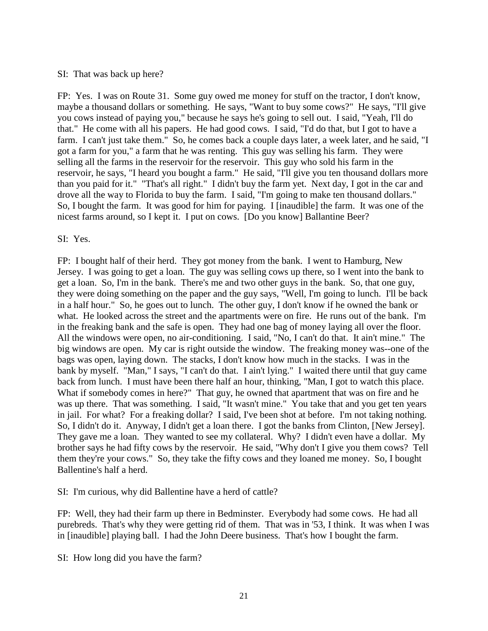#### SI: That was back up here?

FP: Yes. I was on Route 31. Some guy owed me money for stuff on the tractor, I don't know, maybe a thousand dollars or something. He says, "Want to buy some cows?" He says, "I'll give you cows instead of paying you," because he says he's going to sell out. I said, "Yeah, I'll do that." He come with all his papers. He had good cows. I said, "I'd do that, but I got to have a farm. I can't just take them." So, he comes back a couple days later, a week later, and he said, "I got a farm for you," a farm that he was renting. This guy was selling his farm. They were selling all the farms in the reservoir for the reservoir. This guy who sold his farm in the reservoir, he says, "I heard you bought a farm." He said, "I'll give you ten thousand dollars more than you paid for it." "That's all right." I didn't buy the farm yet. Next day, I got in the car and drove all the way to Florida to buy the farm. I said, "I'm going to make ten thousand dollars." So, I bought the farm. It was good for him for paying. I [inaudible] the farm. It was one of the nicest farms around, so I kept it. I put on cows. [Do you know] Ballantine Beer?

### SI: Yes.

FP: I bought half of their herd. They got money from the bank. I went to Hamburg, New Jersey. I was going to get a loan. The guy was selling cows up there, so I went into the bank to get a loan. So, I'm in the bank. There's me and two other guys in the bank. So, that one guy, they were doing something on the paper and the guy says, "Well, I'm going to lunch. I'll be back in a half hour." So, he goes out to lunch. The other guy, I don't know if he owned the bank or what. He looked across the street and the apartments were on fire. He runs out of the bank. I'm in the freaking bank and the safe is open. They had one bag of money laying all over the floor. All the windows were open, no air-conditioning. I said, "No, I can't do that. It ain't mine." The big windows are open. My car is right outside the window. The freaking money was--one of the bags was open, laying down. The stacks, I don't know how much in the stacks. I was in the bank by myself. "Man," I says, "I can't do that. I ain't lying." I waited there until that guy came back from lunch. I must have been there half an hour, thinking, "Man, I got to watch this place. What if somebody comes in here?" That guy, he owned that apartment that was on fire and he was up there. That was something. I said, "It wasn't mine." You take that and you get ten years in jail. For what? For a freaking dollar? I said, I've been shot at before. I'm not taking nothing. So, I didn't do it. Anyway, I didn't get a loan there. I got the banks from Clinton, [New Jersey]. They gave me a loan. They wanted to see my collateral. Why? I didn't even have a dollar. My brother says he had fifty cows by the reservoir. He said, "Why don't I give you them cows? Tell them they're your cows." So, they take the fifty cows and they loaned me money. So, I bought Ballentine's half a herd.

SI: I'm curious, why did Ballentine have a herd of cattle?

FP: Well, they had their farm up there in Bedminster. Everybody had some cows. He had all purebreds. That's why they were getting rid of them. That was in '53, I think. It was when I was in [inaudible] playing ball. I had the John Deere business. That's how I bought the farm.

SI: How long did you have the farm?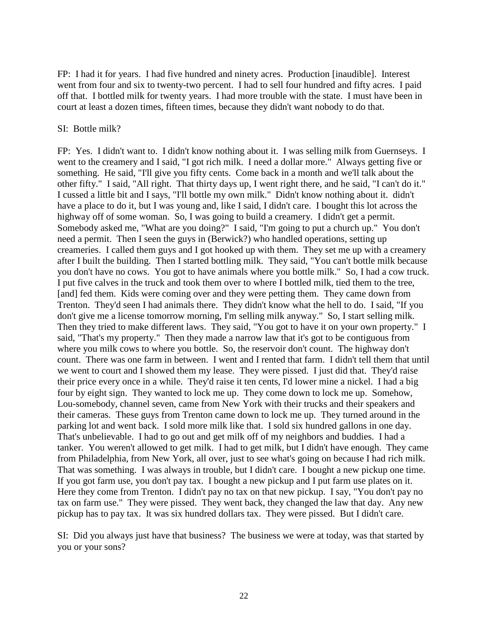FP: I had it for years. I had five hundred and ninety acres. Production [inaudible]. Interest went from four and six to twenty-two percent. I had to sell four hundred and fifty acres. I paid off that. I bottled milk for twenty years. I had more trouble with the state. I must have been in court at least a dozen times, fifteen times, because they didn't want nobody to do that.

#### SI: Bottle milk?

FP: Yes. I didn't want to. I didn't know nothing about it. I was selling milk from Guernseys. I went to the creamery and I said, "I got rich milk. I need a dollar more." Always getting five or something. He said, "I'll give you fifty cents. Come back in a month and we'll talk about the other fifty." I said, "All right. That thirty days up, I went right there, and he said, "I can't do it." I cussed a little bit and I says, "I'll bottle my own milk." Didn't know nothing about it. didn't have a place to do it, but I was young and, like I said, I didn't care. I bought this lot across the highway off of some woman. So, I was going to build a creamery. I didn't get a permit. Somebody asked me, "What are you doing?" I said, "I'm going to put a church up." You don't need a permit. Then I seen the guys in (Berwick?) who handled operations, setting up creameries. I called them guys and I got hooked up with them. They set me up with a creamery after I built the building. Then I started bottling milk. They said, "You can't bottle milk because you don't have no cows. You got to have animals where you bottle milk." So, I had a cow truck. I put five calves in the truck and took them over to where I bottled milk, tied them to the tree, [and] fed them. Kids were coming over and they were petting them. They came down from Trenton. They'd seen I had animals there. They didn't know what the hell to do. I said, "If you don't give me a license tomorrow morning, I'm selling milk anyway." So, I start selling milk. Then they tried to make different laws. They said, "You got to have it on your own property." I said, "That's my property." Then they made a narrow law that it's got to be contiguous from where you milk cows to where you bottle. So, the reservoir don't count. The highway don't count. There was one farm in between. I went and I rented that farm. I didn't tell them that until we went to court and I showed them my lease. They were pissed. I just did that. They'd raise their price every once in a while. They'd raise it ten cents, I'd lower mine a nickel. I had a big four by eight sign. They wanted to lock me up. They come down to lock me up. Somehow, Lou-somebody, channel seven, came from New York with their trucks and their speakers and their cameras. These guys from Trenton came down to lock me up. They turned around in the parking lot and went back. I sold more milk like that. I sold six hundred gallons in one day. That's unbelievable. I had to go out and get milk off of my neighbors and buddies. I had a tanker. You weren't allowed to get milk. I had to get milk, but I didn't have enough. They came from Philadelphia, from New York, all over, just to see what's going on because I had rich milk. That was something. I was always in trouble, but I didn't care. I bought a new pickup one time. If you got farm use, you don't pay tax. I bought a new pickup and I put farm use plates on it. Here they come from Trenton. I didn't pay no tax on that new pickup. I say, "You don't pay no tax on farm use." They were pissed. They went back, they changed the law that day. Any new pickup has to pay tax. It was six hundred dollars tax. They were pissed. But I didn't care.

SI: Did you always just have that business? The business we were at today, was that started by you or your sons?